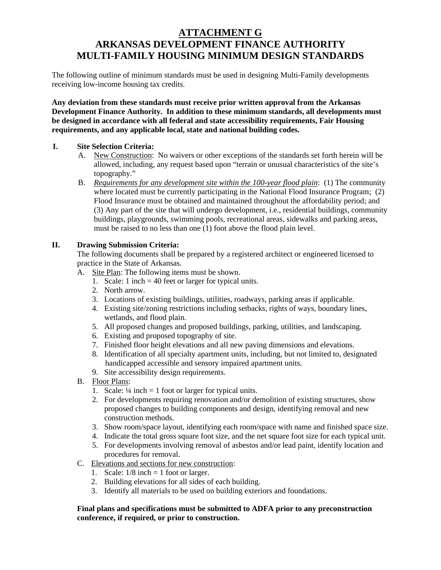# **ATTACHMENT G ARKANSAS DEVELOPMENT FINANCE AUTHORITY MULTI-FAMILY HOUSING MINIMUM DESIGN STANDARDS**

The following outline of minimum standards must be used in designing Multi-Family developments receiving low-income housing tax credits.

**Any deviation from these standards must receive prior written approval from the Arkansas Development Finance Authority. In addition to these minimum standards, all developments must be designed in accordance with all federal and state accessibility requirements, Fair Housing requirements, and any applicable local, state and national building codes.**

## **I. Site Selection Criteria:**

- A. New Construction: No waivers or other exceptions of the standards set forth herein will be allowed, including, any request based upon "terrain or unusual characteristics of the site's topography."
- B. *Requirements for any development site within the 100-year flood plain*: (1) The community where located must be currently participating in the National Flood Insurance Program; (2) Flood Insurance must be obtained and maintained throughout the affordability period; and (3) Any part of the site that will undergo development, i.e., residential buildings, community buildings, playgrounds, swimming pools, recreational areas, sidewalks and parking areas, must be raised to no less than one (1) foot above the flood plain level.

# **II. Drawing Submission Criteria:**

The following documents shall be prepared by a registered architect or engineered licensed to practice in the State of Arkansas.

- A. Site Plan: The following items must be shown.
	- 1. Scale: 1 inch  $=$  40 feet or larger for typical units.
	- 2. North arrow.
	- 3. Locations of existing buildings, utilities, roadways, parking areas if applicable.
	- 4. Existing site/zoning restrictions including setbacks, rights of ways, boundary lines, wetlands, and flood plain.
	- 5. All proposed changes and proposed buildings, parking, utilities, and landscaping.
	- 6. Existing and proposed topography of site.
	- 7. Finished floor height elevations and all new paving dimensions and elevations.
	- 8. Identification of all specialty apartment units, including, but not limited to, designated handicapped accessible and sensory impaired apartment units.
	- 9. Site accessibility design requirements.
- B. Floor Plans:
	- 1. Scale:  $\frac{1}{4}$  inch = 1 foot or larger for typical units.
	- 2. For developments requiring renovation and/or demolition of existing structures, show proposed changes to building components and design, identifying removal and new construction methods.
	- 3. Show room/space layout, identifying each room/space with name and finished space size.
	- 4. Indicate the total gross square foot size, and the net square foot size for each typical unit.
	- 5. For developments involving removal of asbestos and/or lead paint, identify location and procedures for removal.
- C. Elevations and sections for new construction:
	- 1. Scale:  $1/8$  inch = 1 foot or larger.
	- 2. Building elevations for all sides of each building.
	- 3. Identify all materials to be used on building exteriors and foundations.

### **Final plans and specifications must be submitted to ADFA prior to any preconstruction conference, if required, or prior to construction.**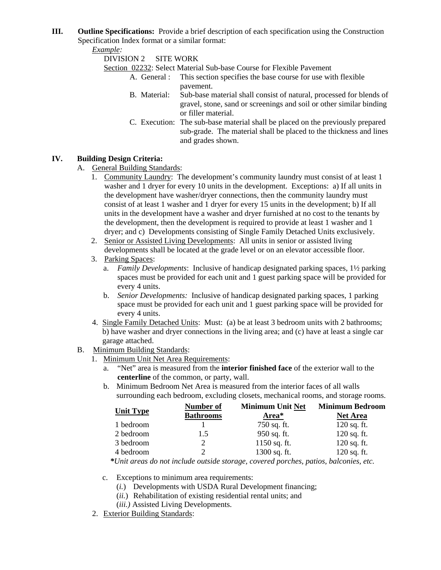**III. Outline Specifications:** Provide a brief description of each specification using the Construction Specification Index format or a similar format:

*Example:*

DIVISION 2 SITE WORK

Section 02232: Select Material Sub-base Course for Flexible Pavement<br>A. General : This section specifies the base course for use with

- This section specifies the base course for use with flexible pavement.
- B. Material: Sub-base material shall consist of natural, processed for blends of gravel, stone, sand or screenings and soil or other similar binding or filler material.
- C. Execution: The sub-base material shall be placed on the previously prepared sub-grade. The material shall be placed to the thickness and lines and grades shown.

# **IV. Building Design Criteria:**

## A. General Building Standards:

- 1. Community Laundry: The development's community laundry must consist of at least 1 washer and 1 dryer for every 10 units in the development. Exceptions: a) If all units in the development have washer/dryer connections, then the community laundry must consist of at least 1 washer and 1 dryer for every 15 units in the development; b) If all units in the development have a washer and dryer furnished at no cost to the tenants by the development, then the development is required to provide at least 1 washer and 1 dryer; and c) Developments consisting of Single Family Detached Units exclusively.
- 2. Senior or Assisted Living Developments: All units in senior or assisted living developments shall be located at the grade level or on an elevator accessible floor.
- 3. Parking Spaces:
	- a. *Family Developments*: Inclusive of handicap designated parking spaces, 1½ parking spaces must be provided for each unit and 1 guest parking space will be provided for every 4 units.
	- b. *Senior Developments:* Inclusive of handicap designated parking spaces, 1 parking space must be provided for each unit and 1 guest parking space will be provided for every 4 units.
- 4. Single Family Detached Units: Must: (a) be at least 3 bedroom units with 2 bathrooms; b) have washer and dryer connections in the living area; and (c) have at least a single car garage attached.
- B. Minimum Building Standards:
	- 1. Minimum Unit Net Area Requirements:
		- a. "Net" area is measured from the **interior finished face** of the exterior wall to the **centerline** of the common, or party, wall.
		- b. Minimum Bedroom Net Area is measured from the interior faces of all walls surrounding each bedroom, excluding closets, mechanical rooms, and storage rooms.

|                  | mber             | <b>Unit Not</b><br>the contract of the contract of<br>المستحدد | <b>Minimum Bedroom</b> |
|------------------|------------------|----------------------------------------------------------------|------------------------|
| <b>Unit Type</b> | <b>Bathrooms</b> | Area*                                                          | <u>Net Area</u>        |
| 1 bedroom        |                  |                                                                | $120$ sq. ft.          |
| 2 bedroom        |                  | $950 \text{ sq.}$<br>---                                       | $120$ sq. ft.          |
| 3 bedroom        |                  | 1150 sq. ft.                                                   | $120$ sq. ft.          |
| 4 bedroom        |                  | 1200<br>י או $\sim$ SQ. $\mu$                                  | 120 sq. ft.            |

*\*Unit areas do not include outside storage, covered porches, patios, balconies, etc.*

- c. Exceptions to minimum area requirements:
	- (*i.*) Developments with USDA Rural Development financing;
	- (*ii.*) Rehabilitation of existing residential rental units; and
	- (*iii.)* Assisted Living Developments.
- 2. Exterior Building Standards: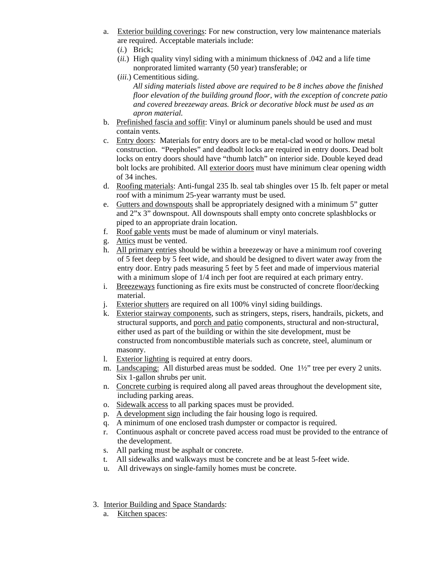- a. Exterior building coverings: For new construction, very low maintenance materials are required. Acceptable materials include:
	- (*i.*) Brick;
	- (*ii.*) High quality vinyl siding with a minimum thickness of .042 and a life time nonprorated limited warranty (50 year) transferable; or
	- (*iii*.) Cementitious siding.

*All siding materials listed above are required to be 8 inches above the finished floor elevation of the building ground floor, with the exception of concrete patio and covered breezeway areas. Brick or decorative block must be used as an apron material.*

- b. Prefinished fascia and soffit: Vinyl or aluminum panels should be used and must contain vents.
- c. Entry doors: Materials for entry doors are to be metal-clad wood or hollow metal construction. "Peepholes" and deadbolt locks are required in entry doors. Dead bolt locks on entry doors should have "thumb latch" on interior side. Double keyed dead bolt locks are prohibited. All exterior doors must have minimum clear opening width of 34 inches.
- d. Roofing materials: Anti-fungal 235 lb. seal tab shingles over 15 lb. felt paper or metal roof with a minimum 25-year warranty must be used.
- e. Gutters and downspouts shall be appropriately designed with a minimum 5" gutter and 2"x 3" downspout. All downspouts shall empty onto concrete splashblocks or piped to an appropriate drain location.
- f. Roof gable vents must be made of aluminum or vinyl materials.
- g. Attics must be vented.
- h. All primary entries should be within a breezeway or have a minimum roof covering of 5 feet deep by 5 feet wide, and should be designed to divert water away from the entry door. Entry pads measuring 5 feet by 5 feet and made of impervious material with a minimum slope of 1/4 inch per foot are required at each primary entry.
- i. Breezeways functioning as fire exits must be constructed of concrete floor/decking material.
- j. Exterior shutters are required on all 100% vinyl siding buildings.
- k. Exterior stairway components, such as stringers, steps, risers, handrails, pickets, and structural supports, and porch and patio components, structural and non-structural, either used as part of the building or within the site development, must be constructed from noncombustible materials such as concrete, steel, aluminum or masonry.
- l. Exterior lighting is required at entry doors.
- m. Landscaping: All disturbed areas must be sodded. One 1½" tree per every 2 units. Six 1-gallon shrubs per unit.
- n. Concrete curbing is required along all paved areas throughout the development site, including parking areas.
- o. Sidewalk access to all parking spaces must be provided.
- p. A development sign including the fair housing logo is required.
- q. A minimum of one enclosed trash dumpster or compactor is required.
- r. Continuous asphalt or concrete paved access road must be provided to the entrance of the development.
- s. All parking must be asphalt or concrete.
- t. All sidewalks and walkways must be concrete and be at least 5-feet wide.
- u. All driveways on single-family homes must be concrete.
- 3. Interior Building and Space Standards:
	- a. Kitchen spaces: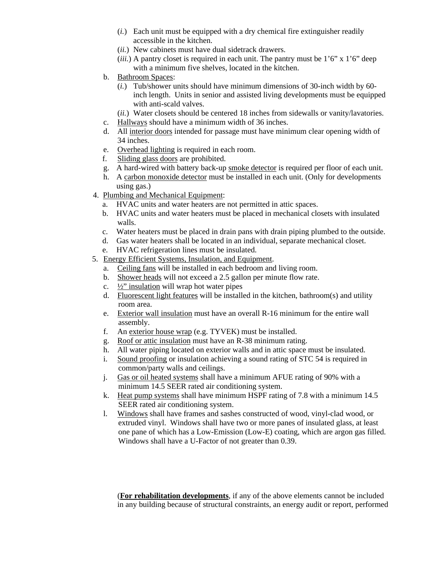- (*i.*) Each unit must be equipped with a dry chemical fire extinguisher readily accessible in the kitchen.
- (*ii.*) New cabinets must have dual sidetrack drawers.
- $(iii)$ . A pantry closet is required in each unit. The pantry must be  $1'6''$  x  $1'6''$  deep with a minimum five shelves, located in the kitchen.
- b. Bathroom Spaces:
	- (*i.*) Tub/shower units should have minimum dimensions of 30-inch width by 60 inch length. Units in senior and assisted living developments must be equipped with anti-scald valves.
	- (*ii.*) Water closets should be centered 18 inches from sidewalls or vanity/lavatories.
- c. Hallways should have a minimum width of 36 inches.
- d. All interior doors intended for passage must have minimum clear opening width of 34 inches.
- e. Overhead lighting is required in each room.
- f. Sliding glass doors are prohibited.
- g. A hard-wired with battery back-up smoke detector is required per floor of each unit.
- h. A carbon monoxide detector must be installed in each unit. (Only for developments using gas.)
- 4. Plumbing and Mechanical Equipment:
	- a. HVAC units and water heaters are not permitted in attic spaces.
	- b. HVAC units and water heaters must be placed in mechanical closets with insulated walls.
	- c. Water heaters must be placed in drain pans with drain piping plumbed to the outside.
	- d. Gas water heaters shall be located in an individual, separate mechanical closet.
	- e. HVAC refrigeration lines must be insulated.
- 5. Energy Efficient Systems, Insulation, and Equipment.
	- a. Ceiling fans will be installed in each bedroom and living room.
	- b. Shower heads will not exceed a 2.5 gallon per minute flow rate.
	- c.  $\frac{1}{2}$ " insulation will wrap hot water pipes
	- d. Fluorescent light features will be installed in the kitchen, bathroom(s) and utility room area.
	- e. Exterior wall insulation must have an overall R-16 minimum for the entire wall assembly.
	- f. An exterior house wrap (e.g. TYVEK) must be installed.
	- g. Roof or attic insulation must have an R-38 minimum rating.
	- h. All water piping located on exterior walls and in attic space must be insulated.
	- i. Sound proofing or insulation achieving a sound rating of STC 54 is required in common/party walls and ceilings.
	- j. Gas or oil heated systems shall have a minimum AFUE rating of 90% with a minimum 14.5 SEER rated air conditioning system.
	- k. Heat pump systems shall have minimum HSPF rating of 7.8 with a minimum 14.5 SEER rated air conditioning system.
	- l. Windows shall have frames and sashes constructed of wood, vinyl-clad wood, or extruded vinyl. Windows shall have two or more panes of insulated glass, at least one pane of which has a Low-Emission (Low-E) coating, which are argon gas filled. Windows shall have a U-Factor of not greater than 0.39.

(**For rehabilitation developments**, if any of the above elements cannot be included in any building because of structural constraints, an energy audit or report, performed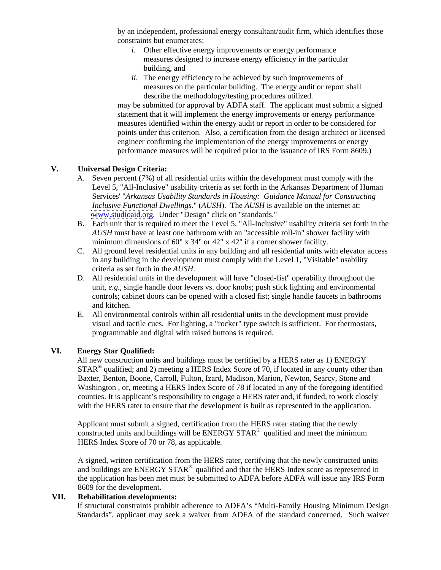by an independent, professional energy consultant/audit firm, which identifies those constraints but enumerates:

- *i*. Other effective energy improvements or energy performance measures designed to increase energy efficiency in the particular building, and
- *ii*. The energy efficiency to be achieved by such improvements of measures on the particular building. The energy audit or report shall describe the methodology/testing procedures utilized.

may be submitted for approval by ADFA staff. The applicant must submit a signed statement that it will implement the energy improvements or energy performance measures identified within the energy audit or report in order to be considered for points under this criterion. Also, a certification from the design architect or licensed engineer confirming the implementation of the energy improvements or energy performance measures will be required prior to the issuance of IRS Form 8609.)

# **V. Universal Design Criteria:**

- A. Seven percent (7%) of all residential units within the development must comply with the Level 5, "All-Inclusive" usability criteria as set forth in the Arkansas Department of Human Services' "*Arkansas Usability Standards in Housing: Guidance Manual for Constructing Inclusive Functional Dwellings*." (*AUSH*). The *AUSH* is available on the internet at: [www.studioaid.org](http://www.studioaid.org). Under "Design" click on "standards."
- B. Each unit that is required to meet the Level 5, "All-Inclusive" usability criteria set forth in the *AUSH* must have at least one bathroom with an "accessible roll-in" shower facility with minimum dimensions of 60" x 34" or 42" x 42" if a corner shower facility.
- C. All ground level residential units in any building and all residential units with elevator access in any building in the development must comply with the Level 1, "Visitable" usability criteria as set forth in the *AUSH*.
- D. All residential units in the development will have "closed-fist" operability throughout the unit, *e.g.*, single handle door levers vs. door knobs; push stick lighting and environmental controls; cabinet doors can be opened with a closed fist; single handle faucets in bathrooms and kitchen.
- E. All environmental controls within all residential units in the development must provide visual and tactile cues. For lighting, a "rocker" type switch is sufficient. For thermostats, programmable and digital with raised buttons is required.

### **VI. Energy Star Qualified:**

All new construction units and buildings must be certified by a HERS rater as 1) ENERGY  $\text{STAR}^{\otimes}$  qualified; and 2) meeting a HERS Index Score of 70, if located in any county other than Baxter, Benton, Boone, Carroll, Fulton, Izard, Madison, Marion, Newton, Searcy, Stone and Washington, or, meeting a HERS Index Score of 78 if located in any of the foregoing identified counties. It is applicant's responsibility to engage a HERS rater and, if funded, to work closely with the HERS rater to ensure that the development is built as represented in the application.

Applicant must submit a signed, certification from the HERS rater stating that the newly constructed units and buildings will be ENERGY STAR® qualified and meet the minimum HERS Index Score of 70 or 78, as applicable.

A signed, written certification from the HERS rater, certifying that the newly constructed units and buildings are ENERGY STAR<sup>®</sup> qualified and that the HERS Index score as represented in the application has been met must be submitted to ADFA before ADFA will issue any IRS Form 8609 for the development.

## **VII. Rehabilitation developments:**

If structural constraints prohibit adherence to ADFA's "Multi-Family Housing Minimum Design Standards", applicant may seek a waiver from ADFA of the standard concerned. Such waiver